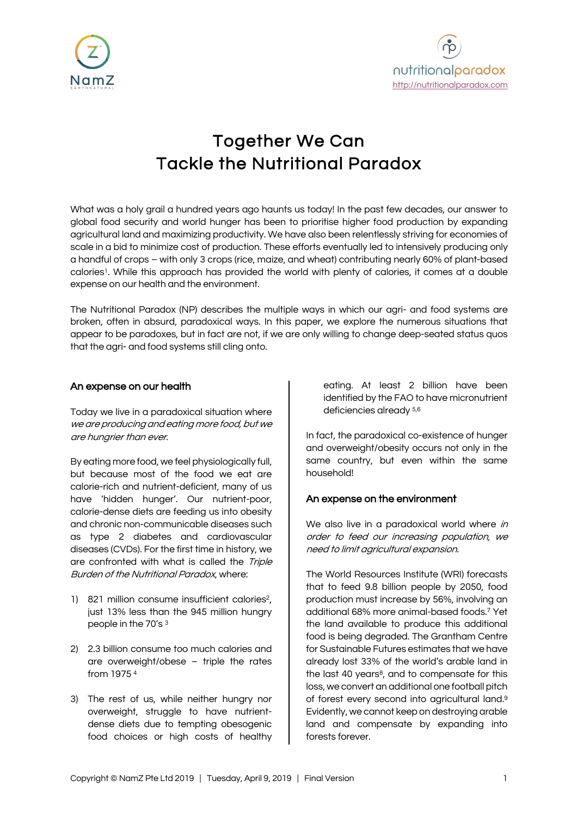



# Together We Can Tackle the Nutritional Paradox

What was a holy grail a hundred years ago haunts us today! In the past few decades, our answer to global food security and world hunger has been to prioritise higher food production by expanding agricultural land and maximizing productivity. We have also been relentlessly striving for economies of scale in a bid to minimize cost of production. These efforts eventually led to intensively producing only a handful of crops – with only 3 crops (rice, maize, and wheat) contributing nearly 60% of plant-based calories1. While this approach has provided the world with plenty of calories, it comes at a double expense on our health and the environment.

The Nutritional Paradox (NP) describes the multiple ways in which our agri- and food systems are broken, often in absurd, paradoxical ways. In this paper, we explore the numerous situations that appear to be paradoxes, but in fact are not, if we are only willing to change deep-seated status quos that the agri- and food systems still cling onto.

#### An expense on our health

Today we live in a paradoxical situation where we are producing and eating more food, but we are hungrier than ever.

By eating more food, we feel physiologically full, but because most of the food we eat are calorie-rich and nutrient-deficient, many of us have 'hidden hunger'. Our nutrient-poor, calorie-dense diets are feeding us into obesity and chronic non-communicable diseases such as type 2 diabetes and cardiovascular diseases (CVDs). For the first time in history, we are confronted with what is called the Triple Burden of the Nutritional Paradox, where:

- 1) 821 million consume insufficient calories<sup>2</sup>, just 13% less than the 945 million hungry people in the 70's <sup>3</sup>
- 2) 2.3 billion consume too much calories and are overweight/obese – triple the rates from 1975 <sup>4</sup>
- 3) The rest of us, while neither hungry nor overweight, struggle to have nutrientdense diets due to tempting obesogenic food choices or high costs of healthy

eating. At least 2 billion have been identified by the FAO to have micronutrient deficiencies already 5,6

In fact, the paradoxical co-existence of hunger and overweight/obesity occurs not only in the same country, but even within the same household!

### An expense on the environment

We also live in a paradoxical world where in order to feed our increasing population, we need to limit agricultural expansion.

The World Resources Institute (WRI) forecasts that to feed 9.8 billion people by 2050, food production must increase by 56%, involving an additional 68% more animal-based foods. <sup>7</sup> Yet the land available to produce this additional food is being degraded. The Grantham Centre for Sustainable Futures estimates that we have already lost 33% of the world's arable land in the last 40 years<sup>8</sup>, and to compensate for this loss, we convert an additional one football pitch of forest every second into agricultural land.9 Evidently, we cannot keep on destroying arable land and compensate by expanding into forests forever.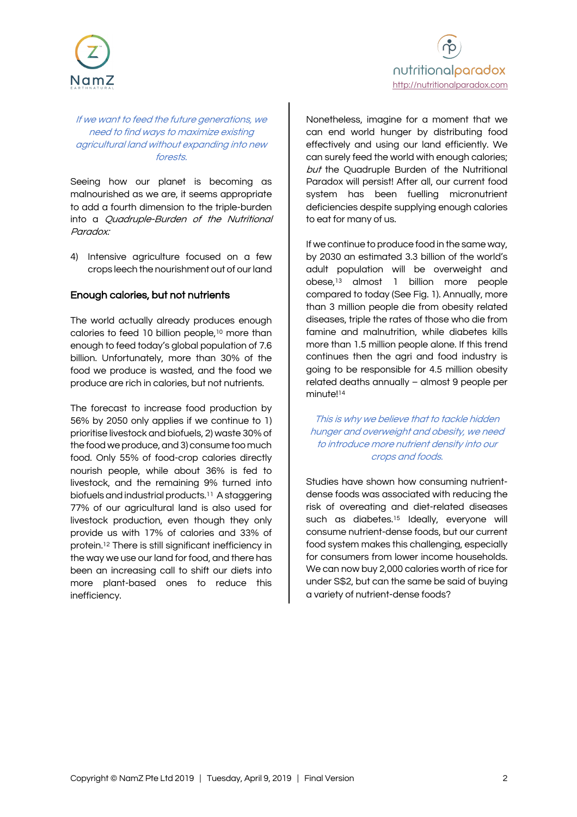



#### If we want to feed the future generations, we need to find ways to maximize existing agricultural land without expanding into new forests.

Seeing how our planet is becoming as malnourished as we are, it seems appropriate to add a fourth dimension to the triple-burden into a Quadruple-Burden of the Nutritional Paradox:

4) Intensive agriculture focused on a few crops leech the nourishment out of our land

#### Enough calories, but not nutrients

The world actually already produces enough calories to feed 10 billion people, <sup>10</sup> more than enough to feed today's global population of 7.6 billion. Unfortunately, more than 30% of the food we produce is wasted, and the food we produce are rich in calories, but not nutrients.

The forecast to increase food production by 56% by 2050 only applies if we continue to 1) prioritise livestock and biofuels, 2) waste 30% of the food we produce, and 3) consume too much food. Only 55% of food-crop calories directly nourish people, while about 36% is fed to livestock, and the remaining 9% turned into biofuels and industrial products.<sup>11</sup> A staggering 77% of our agricultural land is also used for livestock production, even though they only provide us with 17% of calories and 33% of protein.12 There is still significant inefficiency in the way we use our land for food, and there has been an increasing call to shift our diets into more plant-based ones to reduce this inefficiency.

Nonetheless, imagine for a moment that we can end world hunger by distributing food effectively and using our land efficiently. We can surely feed the world with enough calories; but the Ouadruple Burden of the Nutritional Paradox will persist! After all, our current food system has been fuelling micronutrient deficiencies despite supplying enough calories to eat for many of us.

If we continue to produce food in the same way, by 2030 an estimated 3.3 billion of the world's adult population will be overweight and obese, <sup>13</sup> almost 1 billion more people compared to today (See Fig. 1). Annually, more than 3 million people die from obesity related diseases, triple the rates of those who die from famine and malnutrition, while diabetes kills more than 1.5 million people alone. If this trend continues then the agri and food industry is going to be responsible for 4.5 million obesity related deaths annually – almost 9 people per minute!14

This is why we believe that to tackle hidden hunger and overweight and obesity, we need to introduce more nutrient density into our crops and foods.

Studies have shown how consuming nutrientdense foods was associated with reducing the risk of overeating and diet-related diseases such as diabetes.<sup>15</sup> Ideally, everyone will consume nutrient-dense foods, but our current food system makes this challenging, especially for consumers from lower income households. We can now buy 2,000 calories worth of rice for under S\$2, but can the same be said of buying a variety of nutrient-dense foods?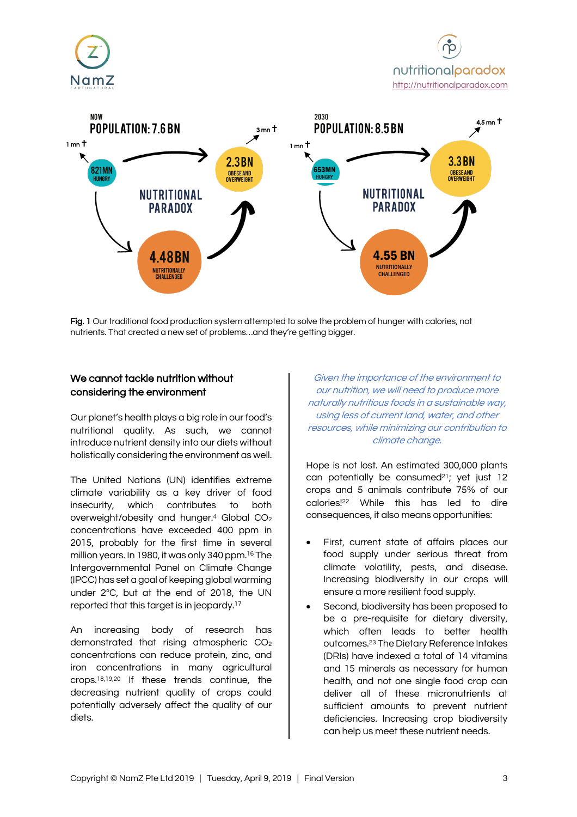





Fig. 1 Our traditional food production system attempted to solve the problem of hunger with calories, not nutrients. That created a new set of problems…and they're getting bigger.

## We cannot tackle nutrition without considering the environment

Our planet's health plays a big role in our food's nutritional quality. As such, we cannot introduce nutrient density into our diets without holistically considering the environment as well.

The United Nations (UN) identifies extreme climate variability as a key driver of food insecurity, which contributes to both overweight/obesity and hunger.4 Global CO2 concentrations have exceeded 400 ppm in 2015, probably for the first time in several million years. In 1980, it was only 340 ppm.16 The Intergovernmental Panel on Climate Change (IPCC) has set a goal of keeping global warming under 2ºC, but at the end of 2018, the UN reported that this target is in jeopardy.<sup>17</sup>

An increasing body of research has demonstrated that rising atmospheric CO2 concentrations can reduce protein, zinc, and iron concentrations in many agricultural crops.18,19,20 If these trends continue, the decreasing nutrient quality of crops could potentially adversely affect the quality of our diets.

Given the importance of the environment to our nutrition, we will need to produce more naturally nutritious foods in a sustainable way, using less of current land, water, and other resources, while minimizing our contribution to climate change.

Hope is not lost. An estimated 300,000 plants can potentially be consumed<sup>21</sup>; yet just 12 crops and 5 animals contribute 75% of our calories! <sup>22</sup> While this has led to dire consequences, it also means opportunities:

- First, current state of affairs places our food supply under serious threat from climate volatility, pests, and disease. Increasing biodiversity in our crops will ensure a more resilient food supply.
- Second, biodiversity has been proposed to be a pre-requisite for dietary diversity, which often leads to better health outcomes.23 The Dietary Reference Intakes (DRIs) have indexed a total of 14 vitamins and 15 minerals as necessary for human health, and not one single food crop can deliver all of these micronutrients at sufficient amounts to prevent nutrient deficiencies. Increasing crop biodiversity can help us meet these nutrient needs.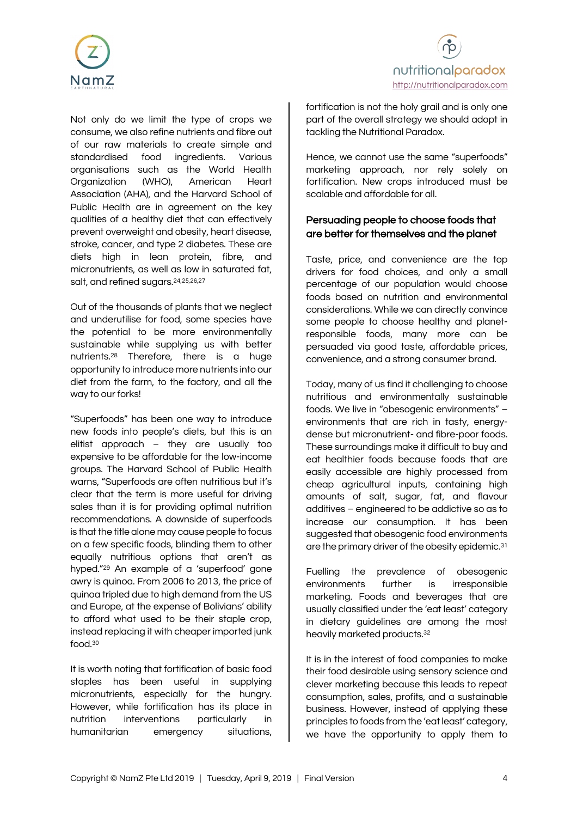



Not only do we limit the type of crops we consume, we also refine nutrients and fibre out of our raw materials to create simple and standardised food ingredients. Various organisations such as the World Health Organization (WHO), American Heart Association (AHA), and the Harvard School of Public Health are in agreement on the key qualities of a healthy diet that can effectively prevent overweight and obesity, heart disease, stroke, cancer, and type 2 diabetes. These are diets high in lean protein, fibre, and micronutrients, as well as low in saturated fat, salt, and refined sugars.24,25,26,27

Out of the thousands of plants that we neglect and underutilise for food, some species have the potential to be more environmentally sustainable while supplying us with better nutrients.28 Therefore, there is a huge opportunity to introduce more nutrients into our diet from the farm, to the factory, and all the way to our forks!

"Superfoods" has been one way to introduce new foods into people's diets, but this is an elitist approach – they are usually too expensive to be affordable for the low-income groups. The Harvard School of Public Health warns, "Superfoods are often nutritious but it's clear that the term is more useful for driving sales than it is for providing optimal nutrition recommendations. A downside of superfoods is that the title alone may cause people to focus on a few specific foods, blinding them to other equally nutritious options that aren't as hyped."29 An example of a 'superfood' gone awry is quinoa. From 2006 to 2013, the price of quinoa tripled due to high demand from the US and Europe, at the expense of Bolivians' ability to afford what used to be their staple crop, instead replacing it with cheaper imported junk food.30

It is worth noting that fortification of basic food staples has been useful in supplying micronutrients, especially for the hungry. However, while fortification has its place in nutrition interventions particularly in humanitarian emergency situations,

fortification is not the holy grail and is only one part of the overall strategy we should adopt in tackling the Nutritional Paradox.

Hence, we cannot use the same "superfoods" marketing approach, nor rely solely on fortification. New crops introduced must be scalable and affordable for all.

## Persuading people to choose foods that are better for themselves and the planet

Taste, price, and convenience are the top drivers for food choices, and only a small percentage of our population would choose foods based on nutrition and environmental considerations. While we can directly convince some people to choose healthy and planetresponsible foods, many more can be persuaded via good taste, affordable prices, convenience, and a strong consumer brand.

Today, many of us find it challenging to choose nutritious and environmentally sustainable foods. We live in "obesogenic environments" – environments that are rich in tasty, energydense but micronutrient- and fibre-poor foods. These surroundings make it difficult to buy and eat healthier foods because foods that are easily accessible are highly processed from cheap agricultural inputs, containing high amounts of salt, sugar, fat, and flavour additives – engineered to be addictive so as to increase our consumption. It has been suggested that obesogenic food environments are the primary driver of the obesity epidemic.31

Fuelling the prevalence of obesogenic environments further is irresponsible marketing. Foods and beverages that are usually classified under the 'eat least' category in dietary guidelines are among the most heavily marketed products.<sup>32</sup>

It is in the interest of food companies to make their food desirable using sensory science and clever marketing because this leads to repeat consumption, sales, profits, and a sustainable business. However, instead of applying these principles to foods from the 'eat least' category, we have the opportunity to apply them to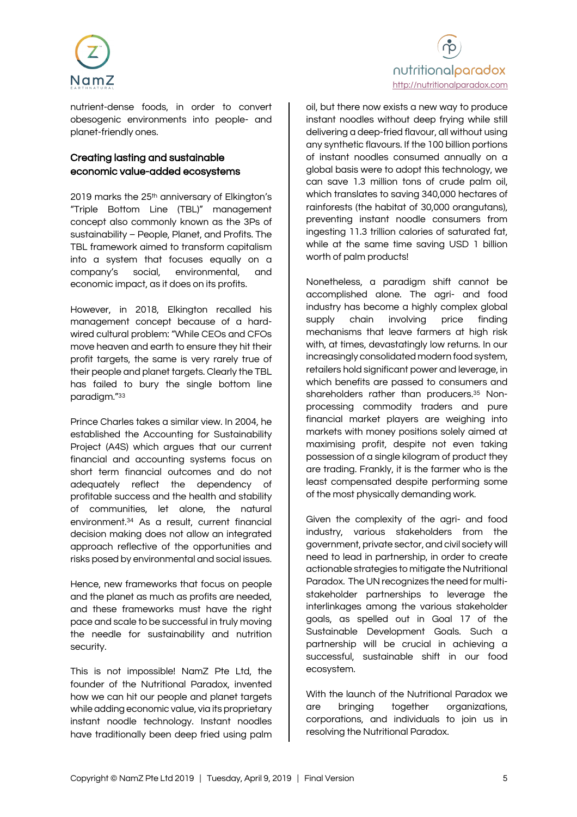

nutrient-dense foods, in order to convert obesogenic environments into people- and planet-friendly ones.

## Creating lasting and sustainable economic value-added ecosystems

2019 marks the 25<sup>th</sup> anniversary of Elkington's "Triple Bottom Line (TBL)" management concept also commonly known as the 3Ps of sustainability – People, Planet, and Profits. The TBL framework aimed to transform capitalism into a system that focuses equally on a company's social, environmental, and economic impact, as it does on its profits.

However, in 2018, Elkington recalled his management concept because of a hardwired cultural problem: "While CEOs and CFOs move heaven and earth to ensure they hit their profit targets, the same is very rarely true of their people and planet targets. Clearly the TBL has failed to bury the single bottom line paradigm."33

Prince Charles takes a similar view. In 2004, he established the Accounting for Sustainability Project (A4S) which argues that our current financial and accounting systems focus on short term financial outcomes and do not adequately reflect the dependency of profitable success and the health and stability of communities, let alone, the natural environment.34 As a result, current financial decision making does not allow an integrated approach reflective of the opportunities and risks posed by environmental and social issues.

Hence, new frameworks that focus on people and the planet as much as profits are needed, and these frameworks must have the right pace and scale to be successful in truly moving the needle for sustainability and nutrition security.

This is not impossible! NamZ Pte Ltd, the founder of the Nutritional Paradox, invented how we can hit our people and planet targets while adding economic value, via its proprietary instant noodle technology. Instant noodles have traditionally been deep fried using palm



oil, but there now exists a new way to produce instant noodles without deep frying while still delivering a deep-fried flavour, all without using any synthetic flavours. If the 100 billion portions of instant noodles consumed annually on a global basis were to adopt this technology, we can save 1.3 million tons of crude palm oil, which translates to saving 340,000 hectares of rainforests (the habitat of 30,000 orangutans), preventing instant noodle consumers from ingesting 11.3 trillion calories of saturated fat, while at the same time saving USD 1 billion worth of palm products!

Nonetheless, a paradigm shift cannot be accomplished alone. The agri- and food industry has become a highly complex global supply chain involving price finding mechanisms that leave farmers at high risk with, at times, devastatingly low returns. In our increasingly consolidated modern food system, retailers hold significant power and leverage, in which benefits are passed to consumers and shareholders rather than producers.<sup>35</sup> Nonprocessing commodity traders and pure financial market players are weighing into markets with money positions solely aimed at maximising profit, despite not even taking possession of a single kilogram of product they are trading. Frankly, it is the farmer who is the least compensated despite performing some of the most physically demanding work.

Given the complexity of the agri- and food industry, various stakeholders from the government, private sector, and civil society will need to lead in partnership, in order to create actionable strategies to mitigate the Nutritional Paradox. The UN recognizes the need for multistakeholder partnerships to leverage the interlinkages among the various stakeholder goals, as spelled out in Goal 17 of the Sustainable Development Goals. Such a partnership will be crucial in achieving a successful, sustainable shift in our food ecosystem.

With the launch of the Nutritional Paradox we are bringing together organizations, corporations, and individuals to join us in resolving the Nutritional Paradox.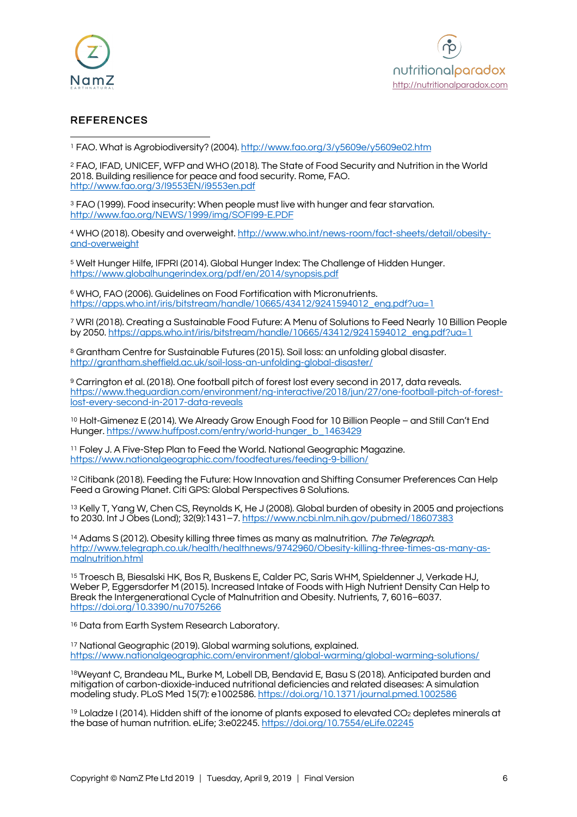



# **REFERENCES**

<sup>1</sup> FAO. What is Agrobiodiversity? (2004). http://www.fao.org/3/y5609e/y5609e02.htm  $\overline{a}$ 

<sup>2</sup> FAO, IFAD, UNICEF, WFP and WHO (2018). The State of Food Security and Nutrition in the World 2018. Building resilience for peace and food security. Rome, FAO. http://www.fao.org/3/I9553EN/i9553en.pdf

<sup>3</sup> FAO (1999). Food insecurity: When people must live with hunger and fear starvation. http://www.fao.org/NEWS/1999/img/SOFI99-E.PDF

4 WHO (2018). Obesity and overweight. http://www.who.int/news-room/fact-sheets/detail/obesityand-overweight

<sup>5</sup> Welt Hunger Hilfe, IFPRI (2014). Global Hunger Index: The Challenge of Hidden Hunger. https://www.globalhungerindex.org/pdf/en/2014/synopsis.pdf

<sup>6</sup> WHO, FAO (2006). Guidelines on Food Fortification with Micronutrients. https://apps.who.int/iris/bitstream/handle/10665/43412/9241594012\_eng.pdf?ua=1

<sup>7</sup> WRI (2018). Creating a Sustainable Food Future: A Menu of Solutions to Feed Nearly 10 Billion People by 2050. https://apps.who.int/iris/bitstream/handle/10665/43412/9241594012\_eng.pdf?ua=1

8 Grantham Centre for Sustainable Futures (2015). Soil loss: an unfolding global disaster. http://grantham.sheffield.ac.uk/soil-loss-an-unfolding-global-disaster/

<sup>9</sup> Carrington et al. (2018). One football pitch of forest lost every second in 2017, data reveals. https://www.theguardian.com/environment/ng-interactive/2018/jun/27/one-football-pitch-of-forestlost-every-second-in-2017-data-reveals

<sup>10</sup> Holt-Gimenez E (2014). We Already Grow Enough Food for 10 Billion People – and Still Can't End Hunger. https://www.huffpost.com/entry/world-hunger\_b\_1463429

<sup>11</sup> Foley J. A Five-Step Plan to Feed the World. National Geographic Magazine. https://www.nationalgeographic.com/foodfeatures/feeding-9-billion/

<sup>12</sup> Citibank (2018). Feeding the Future: How Innovation and Shifting Consumer Preferences Can Help Feed a Growing Planet. Citi GPS: Global Perspectives & Solutions.

13 Kelly T, Yang W, Chen CS, Reynolds K, He J (2008). Global burden of obesity in 2005 and projections to 2030. Int J Obes (Lond); 32(9):1431–7. https://www.ncbi.nlm.nih.gov/pubmed/18607383

<sup>14</sup> Adams S (2012). Obesity killing three times as many as malnutrition. The Telegraph. http://www.telegraph.co.uk/health/healthnews/9742960/Obesity-killing-three-times-as-many-asmalnutrition.html

<sup>15</sup> Troesch B, Biesalski HK, Bos R, Buskens E, Calder PC, Saris WHM, Spieldenner J, Verkade HJ, Weber P, Eggersdorfer M (2015). Increased Intake of Foods with High Nutrient Density Can Help to Break the Intergenerational Cycle of Malnutrition and Obesity. Nutrients, 7, 6016–6037. https://doi.org/10.3390/nu7075266

16 Data from Earth System Research Laboratory.

<sup>17</sup> National Geographic (2019). Global warming solutions, explained. https://www.nationalgeographic.com/environment/global-warming/global-warming-solutions/

18Weyant C, Brandeau ML, Burke M, Lobell DB, Bendavid E, Basu S (2018). Anticipated burden and mitigation of carbon-dioxide-induced nutritional deficiencies and related diseases: A simulation modeling study. PLoS Med 15(7): e1002586. https://doi.org/10.1371/journal.pmed.1002586

<sup>19</sup> Loladze I (2014). Hidden shift of the ionome of plants exposed to elevated CO<sub>2</sub> depletes minerals at the base of human nutrition. eLife; 3:e02245. https://doi.org/10.7554/eLife.02245